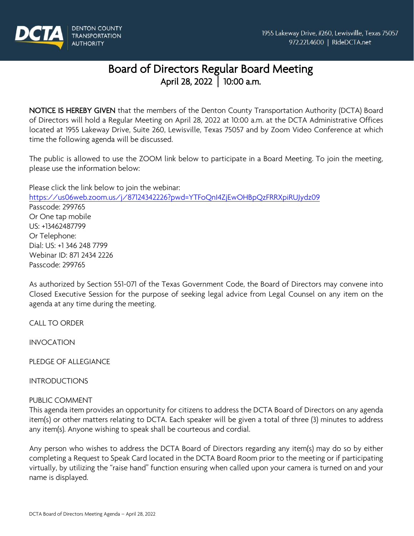

# Board of Directors Regular Board Meeting<br>April 28, 2022 | 10:00 a.m.

NOTICE IS HEREBY GIVEN that the members of the Denton County Transportation Authority (DCTA) Board of Directors will hold a Regular Meeting on April 28, 2022 at 10:00 a.m. at the DCTA Administrative Offices located at 1955 Lakeway Drive, Suite 260, Lewisville, Texas 75057 and by Zoom Video Conference at which time the following agenda will be discussed.

The public is allowed to use the ZOOM link below to participate in a Board Meeting. To join the meeting, please use the information below:

Please click the link below to join the webinar: <https://us06web.zoom.us/j/87124342226?pwd=YTFoQnI4ZjEwOHBpQzFRRXpiRUJydz09> Passcode: 299765 Or One tap mobile US: +13462487799 Or Telephone: Dial: US: +1 346 248 7799 Webinar ID: 871 2434 2226 Passcode: 299765

As authorized by Section 551-071 of the Texas Government Code, the Board of Directors may convene into Closed Executive Session for the purpose of seeking legal advice from Legal Counsel on any item on the agenda at any time during the meeting.

CALL TO ORDER

INVOCATION

PLEDGE OF ALLEGIANCE

INTRODUCTIONS

PUBLIC COMMENT

This agenda item provides an opportunity for citizens to address the DCTA Board of Directors on any agenda item(s) or other matters relating to DCTA. Each speaker will be given a total of three (3) minutes to address any item(s). Anyone wishing to speak shall be courteous and cordial.

Any person who wishes to address the DCTA Board of Directors regarding any item(s) may do so by either completing a Request to Speak Card located in the DCTA Board Room prior to the meeting or if participating virtually, by utilizing the "raise hand" function ensuring when called upon your camera is turned on and your name is displayed.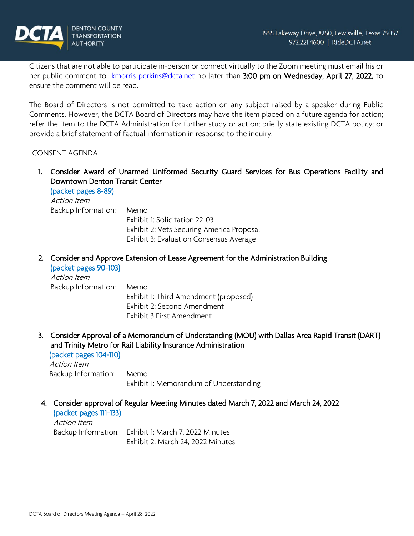

Citizens that are not able to participate in-person or connect virtually to the Zoom meeting must email his or her public comment to [kmorris-perkins@dcta.net](mailto:kmorris-perkins@dcta.net) no later than 3:00 pm on Wednesday, April 27, 2022, to ensure the comment will be read.

The Board of Directors is not permitted to take action on any subject raised by a speaker during Public Comments. However, the DCTA Board of Directors may have the item placed on a future agenda for action; refer the item to the DCTA Administration for further study or action; briefly state existing DCTA policy; or provide a brief statement of factual information in response to the inquiry.

#### CONSENT AGENDA

1. Consider Award of Unarmed Uniformed Security Guard Services for Bus Operations Facility and Downtown Denton Transit Center

(packet pages 8-89) Action Item Backup Information: Memo Exhibit 1: Solicitation 22-03 Exhibit 2: Vets Securing America Proposal Exhibit 3: Evaluation Consensus Average

2. Consider and Approve Extension of Lease Agreement for the Administration Building (packet pages 90-103)

Action Item Backup Information: Memo Exhibit 1: Third Amendment (proposed) Exhibit 2: Second Amendment Exhibit 3 First Amendment

3. Consider Approval of a Memorandum of Understanding (MOU) with Dallas Area Rapid Transit (DART) and Trinity Metro for Rail Liability Insurance Administration (packet pages 104-110)

Action Item Backup Information: Memo Exhibit 1: Memorandum of Understanding

4. Consider approval of Regular Meeting Minutes dated March 7, 2022 and March 24, 2022

(packet pages 111-133)

Action Item Backup Information: Exhibit 1: March 7, 2022 Minutes Exhibit 2: March 24, 2022 Minutes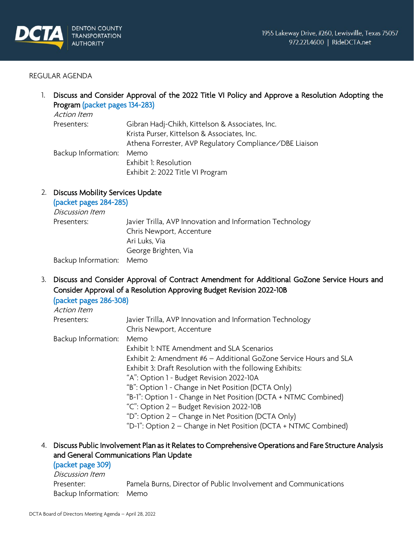

#### REGULAR AGENDA

1. Discuss and Consider Approval of the 2022 Title VI Policy and Approve a Resolution Adopting the Program (packet pages 134-283)

| Action Item              |                                                         |
|--------------------------|---------------------------------------------------------|
| Presenters:              | Gibran Hadj-Chikh, Kittelson & Associates, Inc.         |
|                          | Krista Purser, Kittelson & Associates, Inc.             |
|                          | Athena Forrester, AVP Regulatory Compliance/DBE Liaison |
| Backup Information: Memo |                                                         |
|                          | Exhibit 1: Resolution                                   |
|                          | Exhibit 2: 2022 Title VI Program                        |

#### 2. Discuss Mobility Services Update

#### (packet pages 284-285)

Discussion Item Presenters: Javier Trilla, AVP Innovation and Information Technology Chris Newport, Accenture Ari Luks, Via George Brighten, Via Backup Information: Memo

3. Discuss and Consider Approval of Contract Amendment for Additional GoZone Service Hours and Consider Approval of a Resolution Approving Budget Revision 2022-10B

| (packet pages 286-308) |                                                                   |
|------------------------|-------------------------------------------------------------------|
| Action Item            |                                                                   |
| Presenters:            | Javier Trilla, AVP Innovation and Information Technology          |
|                        | Chris Newport, Accenture                                          |
| Backup Information:    | Memo                                                              |
|                        | Exhibit 1: NTE Amendment and SLA Scenarios                        |
|                        | Exhibit 2: Amendment #6 - Additional GoZone Service Hours and SLA |
|                        | Exhibit 3: Draft Resolution with the following Exhibits:          |
|                        | "A": Option 1 - Budget Revision 2022-10A                          |
|                        | "B": Option 1 - Change in Net Position (DCTA Only)                |
|                        | "B-1": Option 1 - Change in Net Position (DCTA + NTMC Combined)   |
|                        | "C": Option 2 – Budget Revision 2022-10B                          |
|                        | "D": Option 2 – Change in Net Position (DCTA Only)                |
|                        | "D-1": Option 2 – Change in Net Position (DCTA + NTMC Combined)   |

# 4. Discuss Public Involvement Plan as it Relates to Comprehensive Operations and Fare Structure Analysis and General Communications Plan Update

#### (packet page 309)

Discussion Item Presenter: Pamela Burns, Director of Public Involvement and Communications Backup Information: Memo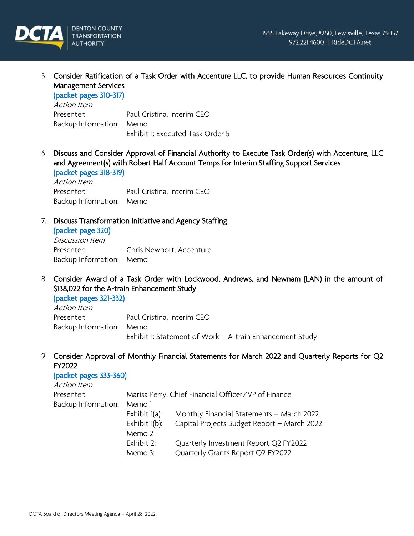

5. Consider Ratification of a Task Order with Accenture LLC, to provide Human Resources Continuity Management Services

(packet pages 310-317)

Action Item Presenter: Paul Cristina, Interim CEO Backup Information: Memo Exhibit 1: Executed Task Order 5

6. Discuss and Consider Approval of Financial Authority to Execute Task Order(s) with Accenture, LLC and Agreement(s) with Robert Half Account Temps for Interim Staffing Support Services (packet pages 318-319)

Action Item Presenter: Paul Cristina, Interim CEO Backup Information: Memo

# 7. Discuss Transformation Initiative and Agency Staffing

(packet page 320) Discussion Item Presenter: Chris Newport, Accenture Backup Information: Memo

8. Consider Award of a Task Order with Lockwood, Andrews, and Newnam (LAN) in the amount of \$138,022 for the A-train Enhancement Study

(packet pages 321-332) Action Item Presenter: Paul Cristina, Interim CEO Backup Information: Memo Exhibit 1: Statement of Work – A-train Enhancement Study

9. Consider Approval of Monthly Financial Statements for March 2022 and Quarterly Reports for Q2 FY2022

# (packet pages 333-360)

| Action Item         |                                                     |                                             |  |
|---------------------|-----------------------------------------------------|---------------------------------------------|--|
| Presenter:          | Marisa Perry, Chief Financial Officer/VP of Finance |                                             |  |
| Backup Information: | Memo 1                                              |                                             |  |
|                     | Exhibit 1(a):                                       | Monthly Financial Statements - March 2022   |  |
|                     | Exhibit 1(b):                                       | Capital Projects Budget Report - March 2022 |  |
|                     | Memo 2                                              |                                             |  |
|                     | Exhibit 2:                                          | Quarterly Investment Report Q2 FY2022       |  |
|                     | Memo 3:                                             | Quarterly Grants Report Q2 FY2022           |  |
|                     |                                                     |                                             |  |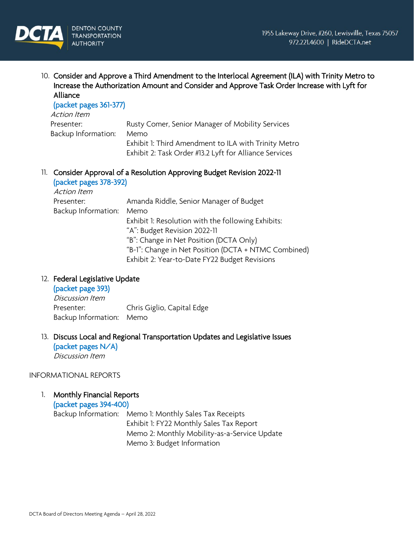

10. Consider and Approve a Third Amendment to the Interlocal Agreement (ILA) with Trinity Metro to Increase the Authorization Amount and Consider and Approve Task Order Increase with Lyft for Alliance

# (packet pages 361-377)

| Action Item         |                                                        |
|---------------------|--------------------------------------------------------|
| Presenter:          | Rusty Comer, Senior Manager of Mobility Services       |
| Backup Information: | Memo                                                   |
|                     | Exhibit 1: Third Amendment to ILA with Trinity Metro   |
|                     | Exhibit 2: Task Order #13.2 Lyft for Alliance Services |

#### 11. Consider Approval of a Resolution Approving Budget Revision 2022-11 (و به مرام م

| (packet pages 378-392) |                                                      |
|------------------------|------------------------------------------------------|
| <b>Action Item</b>     |                                                      |
| Presenter:             | Amanda Riddle, Senior Manager of Budget              |
| Backup Information:    | Memo                                                 |
|                        | Exhibit 1: Resolution with the following Exhibits:   |
|                        | "A": Budget Revision 2022-11                         |
|                        | "B": Change in Net Position (DCTA Only)              |
|                        | "B-1": Change in Net Position (DCTA + NTMC Combined) |
|                        | Exhibit 2: Year-to-Date FY22 Budget Revisions        |

# 12. Federal Legislative Update

# (packet page 393) Discussion Item Presenter: Chris Giglio, Capital Edge Backup Information: Memo

#### 13. Discuss Local and Regional Transportation Updates and Legislative Issues (packet pages N/A)

Discussion Item

# INFORMATIONAL REPORTS

1. Monthly Financial Reports

(packet pages 394-400)

Backup Information: Memo 1: Monthly Sales Tax Receipts Exhibit 1: FY22 Monthly Sales Tax Report Memo 2: Monthly Mobility-as-a-Service Update Memo 3: Budget Information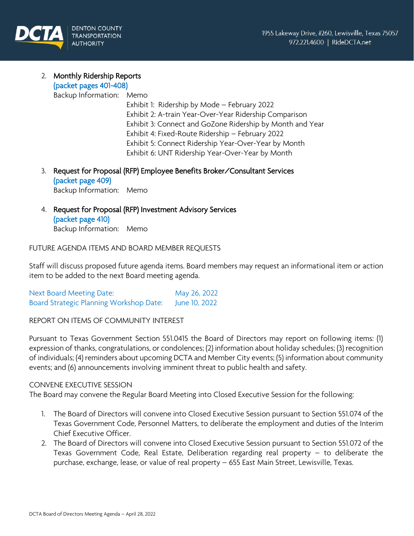

#### 2. Monthly Ridership Reports (packet pages 401-408)

Backup Information: Memo

Exhibit 1: Ridership by Mode – February 2022 Exhibit 2: A-train Year-Over-Year Ridership Comparison Exhibit 3: Connect and GoZone Ridership by Month and Year Exhibit 4: Fixed-Route Ridership – February 2022 Exhibit 5: Connect Ridership Year-Over-Year by Month Exhibit 6: UNT Ridership Year-Over-Year by Month

3. Request for Proposal (RFP) Employee Benefits Broker/Consultant Services (packet page 409) Backup Information: Memo

4. Request for Proposal (RFP) Investment Advisory Services (packet page 410) Backup Information: Memo

# FUTURE AGENDA ITEMS AND BOARD MEMBER REQUESTS

Staff will discuss proposed future agenda items. Board members may request an informational item or action item to be added to the next Board meeting agenda.

Next Board Meeting Date: May 26, 2022 Board Strategic Planning Workshop Date: June 10, 2022

# REPORT ON ITEMS OF COMMUNITY INTEREST

Pursuant to Texas Government Section 551.0415 the Board of Directors may report on following items: (1) expression of thanks, congratulations, or condolences; (2) information about holiday schedules; (3) recognition of individuals; (4) reminders about upcoming DCTA and Member City events; (5) information about community events; and (6) announcements involving imminent threat to public health and safety.

#### CONVENE EXECUTIVE SESSION

The Board may convene the Regular Board Meeting into Closed Executive Session for the following:

- 1. The Board of Directors will convene into Closed Executive Session pursuant to Section 551.074 of the Texas Government Code, Personnel Matters, to deliberate the employment and duties of the Interim Chief Executive Officer.
- 2. The Board of Directors will convene into Closed Executive Session pursuant to Section 551.072 of the Texas Government Code, Real Estate, Deliberation regarding real property – to deliberate the purchase, exchange, lease, or value of real property – 655 East Main Street, Lewisville, Texas.